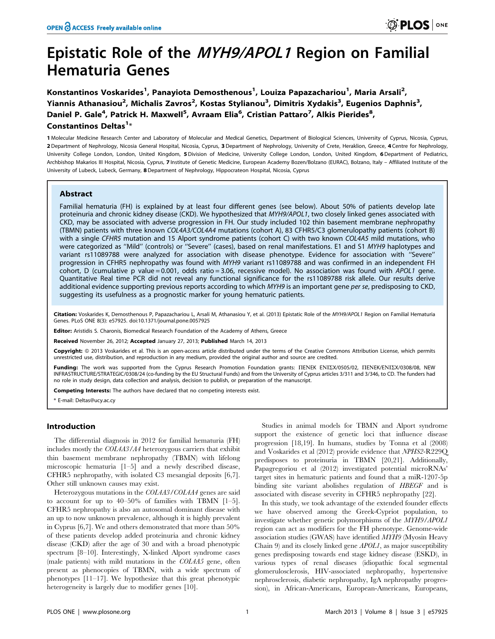# Epistatic Role of the *MYH9/APOL1* Region on Familial Hematuria Genes

Konstantinos Voskarides<sup>1</sup>, Panayiota Demosthenous<sup>1</sup>, Louiza Papazachariou<sup>1</sup>, Maria Arsali<sup>2</sup>, Yiannis Athanasiou<sup>2</sup>, Michalis Zavros<sup>2</sup>, Kostas Stylianou<sup>3</sup>, Dimitris Xydakis<sup>3</sup>, Eugenios Daphnis<sup>3</sup>, Daniel P. Gale<sup>4</sup>, Patrick H. Maxwell<sup>5</sup>, Avraam Elia<sup>6</sup>, Cristian Pattaro<sup>7</sup>, Alkis Pierides<sup>8</sup>,

## Constantinos Deltas<sup>1</sup>\*

1 Molecular Medicine Research Center and Laboratory of Molecular and Medical Genetics, Department of Biological Sciences, University of Cyprus, Nicosia, Cyprus, 2 Department of Nephrology, Nicosia General Hospital, Nicosia, Cyprus, 3 Department of Nephrology, University of Crete, Heraklion, Greece, 4 Centre for Nephrology, University College London, London, United Kingdom, 5 Division of Medicine, University College London, London, United Kingdom, 6 Department of Pediatrics, Archbishop Makarios III Hospital, Nicosia, Cyprus, 7 Institute of Genetic Medicine, European Academy Bozen/Bolzano (EURAC), Bolzano, Italy – Affiliated Institute of the University of Lubeck, Lubeck, Germany, 8 Department of Nephrology, Hippocrateon Hospital, Nicosia, Cyprus

## Abstract

Familial hematuria (FH) is explained by at least four different genes (see below). About 50% of patients develop late proteinuria and chronic kidney disease (CKD). We hypothesized that MYH9/APOL1, two closely linked genes associated with CKD, may be associated with adverse progression in FH. Our study included 102 thin basement membrane nephropathy (TBMN) patients with three known COL4A3/COL4A4 mutations (cohort A), 83 CFHR5/C3 glomerulopathy patients (cohort B) with a single CFHR5 mutation and 15 Alport syndrome patients (cohort C) with two known COL4A5 mild mutations, who were categorized as ''Mild'' (controls) or ''Severe'' (cases), based on renal manifestations. E1 and S1 MYH9 haplotypes and variant rs11089788 were analyzed for association with disease phenotype. Evidence for association with ''Severe'' progression in CFHR5 nephropathy was found with MYH9 variant rs11089788 and was confirmed in an independent FH cohort, D (cumulative p value = 0.001, odds ratio = 3.06, recessive model). No association was found with  $APOL1$  gene. Quantitative Real time PCR did not reveal any functional significance for the rs11089788 risk allele. Our results derive additional evidence supporting previous reports according to which MYH9 is an important gene per se, predisposing to CKD, suggesting its usefulness as a prognostic marker for young hematuric patients.

Citation: Voskarides K, Demosthenous P, Papazachariou L, Arsali M, Athanasiou Y, et al. (2013) Epistatic Role of the MYH9/APOL1 Region on Familial Hematuria Genes. PLoS ONE 8(3): e57925. doi:10.1371/journal.pone.0057925

Editor: Aristidis S. Charonis, Biomedical Research Foundation of the Academy of Athens, Greece

Received November 26, 2012; Accepted January 27, 2013; Published March 14, 2013

**Copyright:** © 2013 Voskarides et al. This is an open-access article distributed under the terms of the Creative Commons Attribution License, which permits unrestricted use, distribution, and reproduction in any medium, provided the original author and source are credited.

Funding: The work was supported from the Cyprus Research Promotion Foundation grants: ΠΕΝΕΚ ΕΝΙΣΧ/0505/02, ΠΕΝΕΚ/ΕΝΙΣΧ/0308/08, ΝΕW INFRASTRUCTURE/STRATEGIC/0308/24 (co-funding by the EU Structural Funds) and from the University of Cyprus articles 3/311 and 3/346, to CD. The funders had no role in study design, data collection and analysis, decision to publish, or preparation of the manuscript.

Competing Interests: The authors have declared that no competing interests exist.

\* E-mail: Deltas@ucy.ac.cy

#### Introduction

The differential diagnosis in 2012 for familial hematuria (FH) includes mostly the COL4A3/A4 heterozygous carriers that exhibit thin basement membrane nephropathy (TBMN) with lifelong microscopic hematuria [1–5] and a newly described disease, CFHR5 nephropathy, with isolated C3 mesangial deposits [6,7]. Other still unknown causes may exist.

Heterozygous mutations in the COL4A3/COL4A4 genes are said to account for up to 40–50% of families with TBMN [1–5]. CFHR5 nephropathy is also an autosomal dominant disease with an up to now unknown prevalence, although it is highly prevalent in Cyprus [6,7]. We and others demonstrated that more than 50% of these patients develop added proteinuria and chronic kidney disease (CKD) after the age of 30 and with a broad phenotypic spectrum [8–10]. Interestingly, X-linked Alport syndrome cases (male patients) with mild mutations in the COL4A5 gene, often present as phenocopies of TBMN, with a wide spectrum of phenotypes [11–17]. We hypothesize that this great phenotypic heterogeneity is largely due to modifier genes [10].

Studies in animal models for TBMN and Alport syndrome support the existence of genetic loci that influence disease progression [18,19]. In humans, studies by Tonna et al (2008) and Voskarides et al (2012) provide evidence that NPHS2-R229Q predisposes to proteinuria in TBMN [20,21]. Additionally, Papagregoriou et al (2012) investigated potential microRNAs' target sites in hematuric patients and found that a miR-1207-5p binding site variant abolishes regulation of HBEGF and is associated with disease severity in CFHR5 nephropathy [22].

In this study, we took advantage of the extended founder effects we have observed among the Greek-Cypriot population, to investigate whether genetic polymorphisms of the MYH9/APOL1 region can act as modifiers for the FH phenotype. Genome-wide association studies (GWAS) have identified MYH9 (Myosin Heavy Chain 9) and its closely linked gene APOL1, as major susceptibility genes predisposing towards end stage kidney disease (ESKD), in various types of renal diseases (idiopathic focal segmental glomerulosclerosis, HIV-associated nephropathy, hypertensive nephrosclerosis, diabetic nephropathy, IgA nephropathy progression), in African-Americans, European-Americans, Europeans,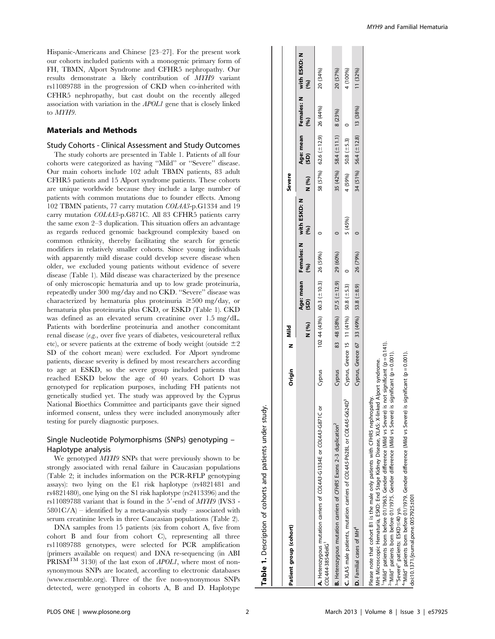Hispanic-Americans and Chinese [23–27]. For the present work our cohorts included patients with a monogenic primary form of FH, TBMN, Alport Syndrome and CFHR5 nephropathy. Our results demonstrate a likely contribution of MYH9 variant rs11089788 in the progression of CKD when co-inherited with CFHR5 nephropathy, but cast doubt on the recently alleged association with variation in the APOL1 gene that is closely linked to MYH9.

#### Materials and Methods

## Study Cohorts - Clinical Assessment and Study Outcomes The study cohorts are presented in Table 1. Patients of all four

cohorts were categorized as having ''Mild'' or ''Severe'' disease. Our main cohorts include 102 adult TBMN patients, 83 adult CFHR5 patients and 15 Alport syndrome patients. These cohorts are unique worldwide because they include a large number of patients with common mutations due to founder effects. Among 102 TBMN patients, 77 carry mutation COL4A3-p.G1334 and 19 carry mutation COL4A3-p.G871C. All 83 CFHR5 patients carry the same exon 2–3 duplication. This situation offers an advantage as regards reduced genomic background complexity based on common ethnicity, thereby facilitating the search for genetic modifiers in relatively smaller cohorts. Since young individuals with apparently mild disease could develop severe disease when older, we excluded young patients without evidence of severe disease (Table 1). Mild disease was characterized by the presence of only microscopic hematuria and up to low grade proteinuria, repeatedly under 300 mg/day and no CKD. ''Severe'' disease was characterized by hematuria plus proteinuria  $\geq 500$  mg/day, or hematuria plus proteinuria plus CKD, or ESKD (Table 1). CKD was defined as an elevated serum creatinine over 1.5 mg/dL. Patients with borderline proteinuria and another concomitant renal disease (e.g., over five years of diabetes, vesicoureteral reflux etc), or severe patients at the extreme of body weight (outside  $\pm 2$ SD of the cohort mean) were excluded. For Alport syndrome patients, disease severity is defined by most researchers according to age at ESKD, so the severe group included patients that reached ESKD below the age of 40 years. Cohort D was genotyped for replication purposes, including FH patients not genetically studied yet. The study was approved by the Cyprus National Bioethics Committee and participants gave their signed informed consent, unless they were included anonymously after testing for purely diagnostic purposes.

## Single Nucleotide Polymorphisms (SNPs) genotyping – Haplotype analysis

We genotyped  $MTH9$  SNPs that were previously shown to be strongly associated with renal failure in Caucasian populations (Table 2; it includes information on the PCR-RFLP genotyping assays): two lying on the E1 risk haplotype (rs4821481 and rs4821480), one lying on the S1 risk haplotype (rs2413396) and the rs11089788 variant that is found in the  $5'$ -end of  $MTH9$  (IVS3 - $5801C/A$  – identified by a meta-analysis study – associated with serum creatinine levels in three Caucasian populations (Table 2).

DNA samples from 15 patients (six from cohort A, five from cohort B and four from cohort C), representing all three rs11089788 genotypes, were selected for PCR amplification (primers available on request) and DNA re-sequencing (in ABI  $\text{PRISM}^{\text{TM}}$  3130) of the last exon of *APOL1*, where most of nonsynonymous SNPs are located, according to electronic databases (www.ensemble.org). Three of the five non-synonymous SNPs detected, were genotyped in cohorts A, B and D. Haplotype

| Patient group (cohort)                                                                                                                                                                                                                                                                                                                                                                                                                                                                                                                                            | Origin                     | nild<br>Nild<br>z                              |                                          |          |                                 | Severe  |                                      |      |                                |
|-------------------------------------------------------------------------------------------------------------------------------------------------------------------------------------------------------------------------------------------------------------------------------------------------------------------------------------------------------------------------------------------------------------------------------------------------------------------------------------------------------------------------------------------------------------------|----------------------------|------------------------------------------------|------------------------------------------|----------|---------------------------------|---------|--------------------------------------|------|--------------------------------|
|                                                                                                                                                                                                                                                                                                                                                                                                                                                                                                                                                                   |                            | N (%)                                          | Age: mean<br>(SD)                        | (%)      | Females: N with ESKD: N<br>(96) | N (%)   | Age: mean<br>(SD)                    | (96) | Females: N with ESKD: N<br>(%) |
| A. Heterozygous mutation carriers of COL4A3-G1334E or COL4A3-G871C or<br>COL4A4-3854delG'                                                                                                                                                                                                                                                                                                                                                                                                                                                                         | Cyprus                     |                                                | 102 44 (43%) 60.3 ( $\pm$ 10.3) 26 (59%) |          |                                 |         | 58 (57%) 62.6 ( $\pm$ 12.9) 26 (44%) |      | 20 (34%)                       |
| B. Heterozygous mutation carriers of CFHR5 Exons 2-3 duplication <sup>2</sup>                                                                                                                                                                                                                                                                                                                                                                                                                                                                                     | Cyprus                     |                                                | 83 48 (58%) 57.5 ( $\pm$ 12.9) 29 (60%)  |          |                                 |         | 35 (42%) 58.4 ( $\pm$ 11.1) 8 (23%)  |      | 20 (57%)                       |
| C. XLAS male patients, mutation carriers of COL4A5-P628L or COL4A5-G624D3                                                                                                                                                                                                                                                                                                                                                                                                                                                                                         |                            | Cyprus, Greece 15 11 $(41\%)$ 50.8 $(\pm 5.3)$ |                                          |          | 5 (45%)                         | 4 (59%) | 50.8 $(\pm 5.3)$                     |      | 4 (100%)                       |
| D. Familial cases of MH <sup>4</sup>                                                                                                                                                                                                                                                                                                                                                                                                                                                                                                                              |                            | Cyprus, Greece 67 33 (49%) 53.8 (±8.9)         |                                          | 26 (79%) |                                 |         | 34 (51%) 56.4 ( $\pm$ 12.8) 13 (38%) |      | 11 (32%)                       |
| "Wild" patients born before 01/1963. Gender difference (Wild vs Severe) is not significant (p = 0.141)<br>""Nild" patients born before 01/1979. Gender difference (Mild vs Severe) is significant (p=0.001).<br>MH: Microscopic Hematuria, ESKD: End Stage Kidney Disease, XLAS: X-linked Alport syndrome.<br>Please note that cohort B1 is the male only patients with CFHR5 nephropathy.<br>""Mild" patients born before 01/1975. Gender difference (Mild vs Severe) i<br>doi:10.1371/iournal.pone.0057925.t001<br><sup>3</sup> "Severe" patients: ESKD ≤40 yo. | s significant (p = 0.001). |                                                |                                          |          |                                 |         |                                      |      |                                |

Table 1. Description of cohorts and patients under study.

1. Description of cohorts and

 $\overline{\mathbf{v}}$ Table

under study

patients

doi:10.1371/journal.pone.0057925.t001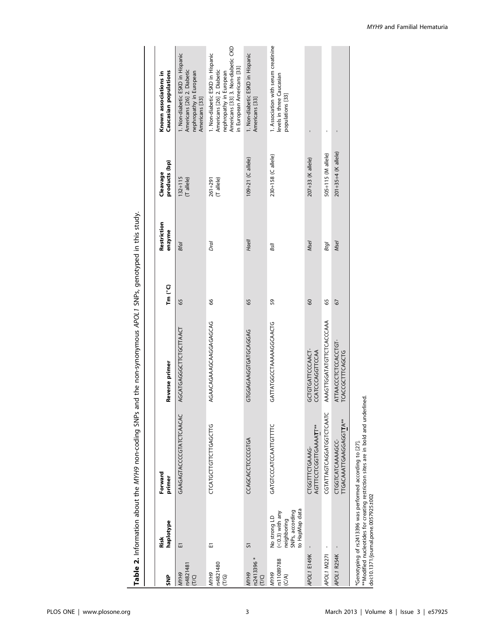Table 2. Information about the MYH9 non-coding SNPs and the non-synonymous APOL1 SNPs, genotyped in this study. Table 2. Information about the MYH9 non-coding SNPs and the non-synonymous APOL1 SNPs, genotyped in this study.

| e<br>SNP                     | haplotype<br>Risk                                                                      | Forward<br>primer                                                                                                                        | Reverse primer                         | $Tm(^{\circ}C)$ | Restriction<br>enzyme | products (bp)<br>Cleavage | Caucasian populations<br>Known associations in                                                                                                                |
|------------------------------|----------------------------------------------------------------------------------------|------------------------------------------------------------------------------------------------------------------------------------------|----------------------------------------|-----------------|-----------------------|---------------------------|---------------------------------------------------------------------------------------------------------------------------------------------------------------|
| rs4821481<br>MYH9<br>(T/C)   | 冚                                                                                      | GAAGAGTACCCGTATCTCAACAC                                                                                                                  | AGCATGAGGGCTTCTGCTTAACT                | 65              | Bfal                  | $132 + 115$<br>(Tallele)  | 1. Non-diabetic ESKD in Hispanic<br>Americans [26] 2. Diabetic<br>nephropathy in European<br>Americans [33]                                                   |
| rs4821480<br>6HAW<br>(T/G)   | 冨                                                                                      | CTCATGCTTGTTGAGCTTG                                                                                                                      | AGAACAGAAAGGAGGAGCAG                   | 8               | Dral                  | (Tallele)<br>$261 + 291$  | Americans [33] 3. Non-diabetic CKD<br>1. Non-diabetic ESKD in Hispanic<br>in European Americans [33]<br>Americans [26] 2. Diabetic<br>nephropathy in European |
| rs2413396 *<br>6HAW<br>(T/C) | 5                                                                                      | CCAGCACCTCCCGTGA                                                                                                                         | GTGGAGAGTGTGATGCAGG                    | 65              | Haell                 | 109+21 (C allele)         | 1. Non-diabetic ESKD in Hispanic<br>Americans [33]                                                                                                            |
| rs11089788<br>MYH9<br>(C/A)  | to HapMap data<br>SNPs, according<br>$(<$ 0.3) with any<br>No strong LD<br>neighboring | GATGTCCCATCCAATTGTTTC                                                                                                                    | GATTATGGCCTAAAAGGCAACTG                | 59              | Bsll                  | 230+158 (C allele)        | 1. Association with serum creatinine<br>levels in three Caucasian<br>populations [33]                                                                         |
| APOL1 E149K                  |                                                                                        | AGTTTCCTCGGTTGAAAATT**<br>CTGGTTTCTGAAAG-                                                                                                | GCTGTGATTCCCAACT-<br>CCATCCCAGGTTCCAA  | 8               | Msel                  | 207+33 (K allele)         |                                                                                                                                                               |
| APOL1 M2271                  |                                                                                        | CGTATTAGTCAGGATGGTCTCAATC                                                                                                                | AAAGTTGGATATGTTCTCACCCAAA              | 65              | Btgl                  | 505+115 (M allele)        |                                                                                                                                                               |
| APOL1 R254K                  |                                                                                        | ITGACAAATTGAAGGAGGTTA**<br>CTGGTCATCAAAAGCC-                                                                                             | ATTAACCCTCCACCTGT-<br>TCACCGCTTTCAGCTG | 67              | Msel                  | 201+35+4 (K allele)       |                                                                                                                                                               |
|                              | doi:10.1371/journal.pone.0057925.t002                                                  | **Modified nucleotides for creating restriction sites are in bold and underl<br>*Genotyping of rs2413396 was performed according to [27] | ined.                                  |                 |                       |                           |                                                                                                                                                               |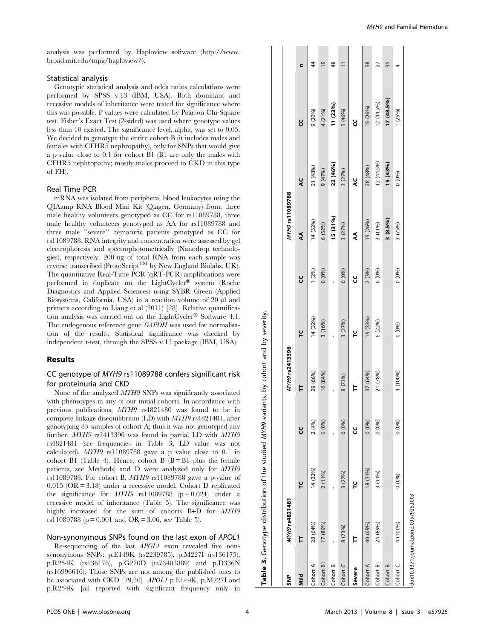MYH9 and Familial Hematuria

analysis was performed by Haploview software (http://www. broad.mit.edu/mpg/haploview/).

#### Statistical analysis

Genotypic statistical analysis and odds ratios calculations were performed by SPSS v.13 (IBM, USA). Both dominant and recessive models of inheritance were tested for significance where this was possible. P values were calculated by Pearson Chi-Square test. Fisher's Exact Test (2-sided) was used where genotype values less than 10 existed. The significance level, alpha, was set to 0.05. We decided to genotype the entire cohort B (it includes males and females with CFHR5 nephropathy), only for SNPs that would give a p value close to 0.1 for cohort B1 (B1 are only the males with CFHR5 nephropathy; mostly males proceed to CKD in this type of FH).

#### Real Time PCR

mRNA was isolated from peripheral blood leukocytes using the QIAamp RNA Blood Mini Kit (Qiagen, Germany) from: three male healthy volunteers genotyped as CC for rs11089788, three male healthy volunteers genotyped as AA for rs11089788 and three male ''severe'' hematuric patients genotyped as CC for rs11089788. RNA integrity and concentration were assessed by gel electrophoresis and spectrophotometrically (Nanodrop technologies), respectively. 200 ng of total RNA from each sample was reverse transcribed (ProtoScript<sup>TM</sup> by New England Biolabs, UK). The quantitative Real-Time PCR (qRT-PCR) amplifications were performed in duplicate on the LightCycler<sup>®</sup> system (Roche Diagnostics and Applied Sciences) using SYBR Green (Applied Biosystems, California, USA) in a reaction volume of 20 µl and primers according to Liang et al (2011) [28]. Relative quantification analysis was carried out on the LightCycler® Software 4.1. The endogenous reference gene GAPDH was used for normalisation of the results. Statistical significance was checked by independent t-test, through the SPSS v.13 package (IBM, USA).

#### Results

### CC genotype of MYH9 rs11089788 confers significant risk for proteinuria and CKD

None of the analyzed MYH9 SNPs was significantly associated with phenotypes in any of our initial cohorts. In accordance with previous publications, MYH9 rs4821480 was found to be in complete linkage disequilibrium (LD) with MYH9 rs4821481, after genotyping 85 samples of cohort A; thus it was not genotyped any further. MYH9 rs2413396 was found in partial LD with MYH9 rs4821481 (see frequencies in Table 3, LD value was not calculated). MYH9 rs11089788 gave a p value close to 0.1 in cohort B1 (Table 4). Hence, cohort B  $(B = B1)$  plus the female patients, see Methods) and D were analyzed only for MYH9 rs11089788. For cohort B, MYH9 rs11089788 gave a p-value of 0.015 (OR = 3.18) under a recessive model. Cohort D replicated the significance for  $MTH9$  rs11089788 (p = 0.024) under a recessive model of inheritance (Table 5). The significance was highly increased for the sum of cohorts B+D for  $MTH9$ rs11089788 ( $p = 0.001$  and OR = 3.06, see Table 5).

#### Non-synonymous SNPs found on the last exon of APOL1

Re-sequencing of the last APOL1 exon revealed five nonsynonymous SNPs: p.E149K (rs2239785), p.M227I (rs136175), p.R254K (rs136176), p.G270D (rs73403889) and p.D336N (rs16996616). Those SNPs are not among the published ones to be associated with CKD [29,30]. APOL1 p.E149K, p.M227I and p.R254K [all reported with significant frequency only in

| ទ្ធិ<br>ទី   | MYH9rs4821481                         |          |          | MYH9 rs2413396 |          |        | MYH9 rs11089788 |              |            |                |
|--------------|---------------------------------------|----------|----------|----------------|----------|--------|-----------------|--------------|------------|----------------|
| $\mathbf{m}$ |                                       | ٢        | ყ        |                | ٢        | Ⴘ      | Ę               | ¥            | ŭ          | c              |
| Cohort A     | 28 (64%)                              | 14 (32%) | 2(4%)    | 29 (66%)       | 14 (32%) | 1(2%)  | 14 (32%)        | 21 (48%)     | 9 (20%)    | 44             |
| Cohort B1    | 17 (89%)                              | 2(11%)   | $0(0\%)$ | 16 (84%)       | 3 (16%)  | 0(0%)  | 6 (32%)         | 9 (47%)      | 4 (21%)    | $\overline{0}$ |
| Cohort B     |                                       |          |          |                |          |        | 15 (31%)        | 22 (46%)     | 11(23%)    | 48             |
| Cohort C     | 8 (73%)                               | 3 (27%)  | $0(0\%)$ | 8 (73%)        | 3(27%)   | 0(0%)  | 3 (27%)         | 3 (27%)      | 5 (46%)    |                |
| Severe       |                                       |          | ყ        |                | ۲h       | Y      | ş               | ¥            | ყ          |                |
| Cohort A     | 40 (69%)                              | 18 (31%) | 0(0%)    | 37 (64%)       | 19 (33%) | 2(3%)  | 15 (26%)        | 28 (48%)     | 15 (26%)   | 58             |
| Cohort B1    | 24 (89%)                              | 3(11%)   | 0(0%)    | 21 (78%)       | 6 (22%)  | 0(0%)  | 3(11%)          | $12(44.5\%)$ | 12 (44.5%) | 27             |
| Cohort B     |                                       |          |          |                |          |        | $3(8.5\%)$      | 15(43%)      | 17 (48.5%) | 35             |
| Cohort C     | 4 (100%)                              | 0(0%)    | 0(0%)    | 4 (100%)       | $0(0\%)$ | (0.66) | 3 (75%)         | 0(0%)        | 1 (25%)    | 4              |
|              | doi:10.1371/journal.pone.0057925.t003 |          |          |                |          |        |                 |              |            |                |

Table 3. Genotype distribution of the studied MYH9 variants, by cohort and by severity.

3. Genotype distribution of the studied MYH9 variants,

Table 3

by cohort and by severity.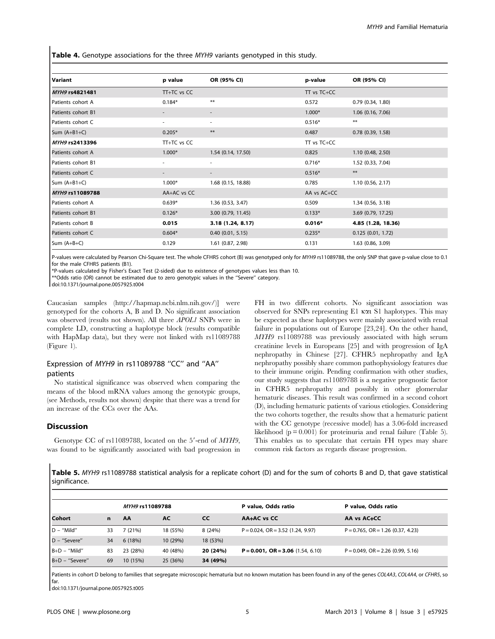Table 4. Genotype associations for the three MYH9 variants genotyped in this study.

| p value                  | OR (95% CI)              | p-value     | OR (95% CI)           |
|--------------------------|--------------------------|-------------|-----------------------|
| TT+TC vs CC              |                          | TT vs TC+CC |                       |
| $0.184*$                 | $***$                    | 0.572       | 0.79(0.34, 1.80)      |
| $\overline{\phantom{a}}$ | $\overline{\phantom{a}}$ | $1.000*$    | $1.06$ (0.16, 7.06)   |
| ٠                        | ٠                        | $0.516*$    | $***$                 |
| $0.205*$                 | $***$                    | 0.487       | $0.78$ $(0.39, 1.58)$ |
| TT+TC vs CC              |                          | TT vs TC+CC |                       |
| $1.000*$                 | 1.54(0.14, 17.50)        | 0.825       | 1.10 (0.48, 2.50)     |
| ٠                        | ٠                        | $0.716*$    | 1.52 (0.33, 7.04)     |
|                          |                          | $0.516*$    | $***$                 |
| $1.000*$                 | 1.68 (0.15, 18.88)       | 0.785       | 1.10(0.56, 2.17)      |
| AA+AC vs CC              |                          | AA vs AC+CC |                       |
| $0.639*$                 | 1.36(0.53, 3.47)         | 0.509       | 1.34 (0.56, 3.18)     |
| $0.126*$                 | $3.00$ (0.79, 11.45)     | $0.133*$    | 3.69 (0.79, 17.25)    |
| 0.015                    | 3.18 (1.24, 8.17)        | $0.016*$    | 4.85 (1.28, 18.36)    |
| $0.604*$                 | $0.40$ $(0.01, 5.15)$    | $0.235*$    | 0.125(0.01, 1.72)     |
| 0.129                    | 1.61 (0.87, 2.98)        | 0.131       | $1.63$ (0.86, 3.09)   |
|                          |                          |             |                       |

P-values were calculated by Pearson Chi-Square test. The whole CFHR5 cohort (B) was genotyped only for MYH9 rs11089788, the only SNP that gave p-value close to 0.1 for the male CFHR5 patients (B1).

\*P-values calculated by Fisher's Exact Test (2-sided) due to existence of genotypes values less than 10.

\*\*Odds ratio (OR) cannot be estimated due to zero genotypic values in the ''Severe'' category.

doi:10.1371/journal.pone.0057925.t004

Caucasian samples (http://hapmap.ncbi.nlm.nih.gov/)] were genotyped for the cohorts A, B and D. No significant association was observed (results not shown). All three APOL1 SNPs were in complete LD, constructing a haplotype block (results compatible with HapMap data), but they were not linked with rs11089788 (Figure 1).

## Expression of MYH9 in rs11089788 ''CC'' and ''AA'' patients

No statistical significance was observed when comparing the means of the blood mRNA values among the genotypic groups, (see Methods, results not shown) despite that there was a trend for an increase of the CCs over the AAs.

## Discussion

Genotype CC of  $rs11089788$ , located on the 5'-end of  $MTH9$ , was found to be significantly associated with bad progression in FH in two different cohorts. No significant association was observed for SNPs representing E1 kxt S1 haplotypes. This may be expected as these haplotypes were mainly associated with renal failure in populations out of Europe [23,24]. On the other hand, MYH9 rs11089788 was previously associated with high serum creatinine levels in Europeans [25] and with progression of IgA nephropathy in Chinese [27]. CFHR5 nephropathy and IgA nephropathy possibly share common pathophysiology features due to their immune origin. Pending confirmation with other studies, our study suggests that rs11089788 is a negative prognostic factor in CFHR5 nephropathy and possibly in other glomerular hematuric diseases. This result was confirmed in a second cohort (D), including hematuric patients of various etiologies. Considering the two cohorts together, the results show that a hematuric patient with the CC genotype (recessive model) has a 3.06-fold increased likelihood ( $p = 0.001$ ) for proteinuria and renal failure (Table 5). This enables us to speculate that certain FH types may share common risk factors as regards disease progression.

Table 5. MYH9 rs11089788 statistical analysis for a replicate cohort (D) and for the sum of cohorts B and D, that gave statistical significance.

|                |    | MYH9 rs11089788 |           |           | P value, Odds ratio                    | P value, Odds ratio                    |
|----------------|----|-----------------|-----------|-----------|----------------------------------------|----------------------------------------|
| <b>Cohort</b>  | n  | AA              | <b>AC</b> | <b>CC</b> | AA+AC vs CC                            | AA vs AC+CC                            |
| $D - "Mid"$    | 33 | 7(21%)          | 18 (55%)  | 8(24%)    | $P = 0.024$ , $OR = 3.52$ (1.24, 9.97) | $P = 0.765$ , $OR = 1.26$ (0.37, 4.23) |
| $D -$ "Severe" | 34 | 6(18%)          | 10 (29%)  | 18 (53%)  |                                        |                                        |
| $B+D - "Mid"$  | 83 | 23 (28%)        | 40 (48%)  | 20 (24%)  | $P = 0.001$ , $OR = 3.06$ (1.54, 6.10) | $P = 0.049$ , $OR = 2.26$ (0.99, 5.16) |
| B+D - "Severe" | 69 | 10(15%)         | 25 (36%)  | 34 (49%)  |                                        |                                        |

Patients in cohort D belong to families that segregate microscopic hematuria but no known mutation has been found in any of the genes COL4A3, COL4A4, or CFHR5, so far.

doi:10.1371/journal.pone.0057925.t005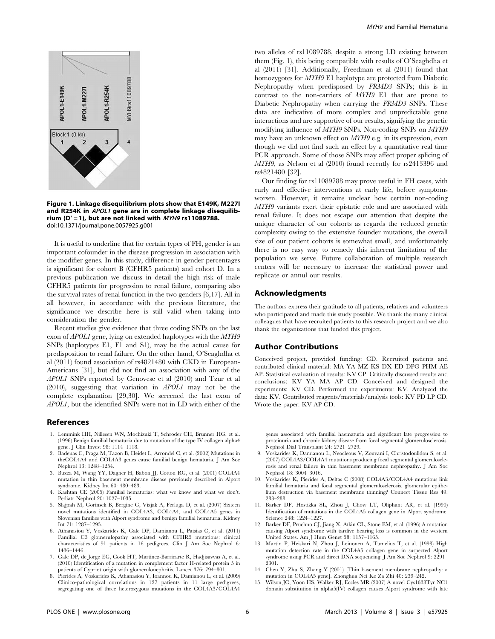

Figure 1. Linkage disequilibrium plots show that E149K, M227I and R254K in APOL1 gene are in complete linkage disequilibrium (D' = 1), but are not linked with  $MYH9$  rs11089788. doi:10.1371/journal.pone.0057925.g001

It is useful to underline that for certain types of FH, gender is an important cofounder in the disease progression in association with the modifier genes. In this study, difference in gender percentages is significant for cohort B (CFHR5 patients) and cohort D. In a previous publication we discuss in detail the high risk of male CFHR5 patients for progression to renal failure, comparing also the survival rates of renal function in the two genders [6,17]. All in all however, in accordance with the previous literature, the significance we describe here is still valid when taking into consideration the gender.

Recent studies give evidence that three coding SNPs on the last exon of *APOL1* gene, lying on extended haplotypes with the *MYH9* SNPs (haplotypes E1, F1 and S1), may be the actual cause for predisposition to renal failure. On the other hand, O'Seaghdha et al (2011) found association of rs4821480 with CKD in European-Americans [31], but did not find an association with any of the APOL1 SNPs reported by Genovese et al (2010) and Tzur et al (2010), suggesting that variation in APOL1 may not be the complete explanation [29,30]. We screened the last exon of APOL1, but the identified SNPs were not in LD with either of the

#### References

- 1. Lemmink HH, Nillesen WN, Mochizuki T, Schroder CH, Brunner HG, et al. (1996) Benign familial hematuria due to mutation of the type IV collagen alpha4 gene. J Clin Invest 98: 1114–1118.
- 2. Badenas C, Praga M, Tazon B, Heidet L, Arrondel C, et al. (2002) Mutations in theCOL4A4 and COL4A3 genes cause familial benign hematuria. J Am Soc Nephrol 13: 1248–1254.
- 3. Buzza M, Wang YY, Dagher H, Babon JJ, Cotton RG, et al. (2001) COL4A4 mutation in thin basement membrane disease previously described in Alport syndrome. Kidney Int 60: 480–483.
- 4. Kashtan CE (2005) Familial hematurias: what we know and what we don't. Pediatr Nephrol 20: 1027–1035.
- 5. Slajpah M, Gorinsek B, Berginc G, Vizjak A, Ferluga D, et al. (2007) Sixteen novel mutations identified in COL4A3, COL4A4, and COL4A5 genes in Slovenian families with Alport syndrome and benign familial hematuria. Kidney Int 71: 1287–1295.
- 6. Athanasiou Y, Voskarides K, Gale DP, Damianou L, Patsias C, et al. (2011) Familial C3 glomerulopathy associated with CFHR5 mutations: clinical characteristics of 91 patients in 16 pedigrees. Clin J Am Soc Nephrol 6: 1436–1446.
- 7. Gale DP, de Jorge EG, Cook HT, Martinez-Barricarte R, Hadjisavvas A, et al. (2010) Identification of a mutation in complement factor H-related protein 5 in patients of Cypriot origin with glomerulonephritis. Lancet 376: 794–801.
- 8. Pierides A, Voskarides K, Athanasiou Y, Ioannou K, Damianou L, et al. (2009) Clinico-pathological correlations in 127 patients in 11 large pedigrees, segregating one of three heterozygous mutations in the COL4A3/COL4A4

two alleles of rs11089788, despite a strong LD existing between them (Fig. 1), this being compatible with results of O'Seaghdha et al (2011) [31]. Additionally, Freedman et al (2011) found that homozygotes for MYH9 E1 haplotype are protected from Diabetic Nephropathy when predisposed by FRMD3 SNPs; this is in contrast to the non-carriers of MYH9 E1 that are prone to Diabetic Nephropathy when carrying the FRMD3 SNPs. These data are indicative of more complex and unpredictable gene interactions and are supportive of our results, signifying the genetic modifying influence of MYH9 SNPs. Non-coding SNPs on MYH9 may have an unknown effect on MYH9 e.g. in its expression, even though we did not find such an effect by a quantitative real time PCR approach. Some of those SNPs may affect proper splicing of MYH9, as Nelson et al (2010) found recently for rs2413396 and rs4821480 [32].

Our finding for rs11089788 may prove useful in FH cases, with early and effective interventions at early life, before symptoms worsen. However, it remains unclear how certain non-coding MYH9 variants exert their epistatic role and are associated with renal failure. It does not escape our attention that despite the unique character of our cohorts as regards the reduced genetic complexity owing to the extensive founder mutations, the overall size of our patient cohorts is somewhat small, and unfortunately there is no easy way to remedy this inherent limitation of the population we serve. Future collaboration of multiple research centers will be necessary to increase the statistical power and replicate or annul our results.

#### Acknowledgments

The authors express their gratitude to all patients, relatives and volunteers who participated and made this study possible. We thank the many clinical colleagues that have recruited patients to this research project and we also thank the organizations that funded this project.

#### Author Contributions

Conceived project, provided funding: CD. Recruited patients and contributed clinical material: MA YA MZ KS DX ED DPG PHM AE AP. Statistical evaluation of results: KV CP. Critically discussed results and conclusions: KV YA MA AP CD. Conceived and designed the experiments: KV CD. Performed the experiments: KV. Analyzed the data: KV. Contributed reagents/materials/analysis tools: KV PD LP CD. Wrote the paper: KV AP CD.

genes associated with familial haematuria and significant late progression to proteinuria and chronic kidney disease from focal segmental glomerulosclerosis. Nephrol Dial Transplant 24: 2721–2729.

- 9. Voskarides K, Damianou L, Neocleous V, Zouvani I, Christodoulidou S, et al. (2007) COL4A3/COL4A4 mutations producing focal segmental glomerulosclerosis and renal failure in thin basement membrane nephropathy. J Am Soc Nephrol 18: 3004–3016.
- 10. Voskarides K, Pierides A, Deltas C (2008) COL4A3/COL4A4 mutations link familial hematuria and focal segmental glomerulosclerosis. glomerular epithelium destruction via basement membrane thinning? Connect Tissue Res 49: 283–288.
- 11. Barker DF, Hostikka SL, Zhou J, Chow LT, Oliphant AR, et al. (1990) Identification of mutations in the COL4A5 collagen gene in Alport syndrome. Science 248: 1224–1227.
- 12. Barker DF, Pruchno CJ, Jiang X, Atkin CL, Stone EM, et al. (1996) A mutation causing Alport syndrome with tardive hearing loss is common in the western United States. Am J Hum Genet 58: 1157–1165.
- 13. Martin P, Heiskari N, Zhou J, Leinonen A, Tumelius T, et al. (1998) High mutation detection rate in the COL4A5 collagen gene in suspected Alport syndrome using PCR and direct DNA sequencing. J Am Soc Nephrol 9: 2291– 2301.
- 14. Chen Y, Zhu S, Zhang Y (2001) [Thin basement membrane nephropathy: a mutation in COL4A5 gene]. Zhonghua Nei Ke Za Zhi 40: 239–242.
- 15. Wilson JC, Yoon HS, Walker RJ, Eccles MR (2007) A novel Cys1638Tyr NC1 domain substitution in alpha5(IV) collagen causes Alport syndrome with late